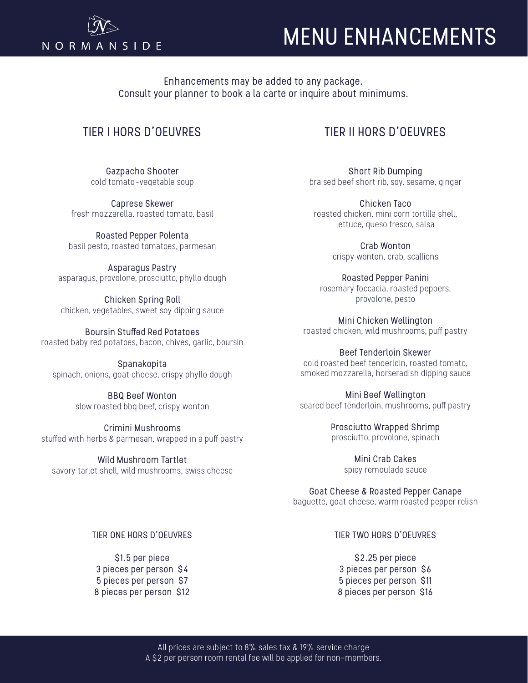

# MENU ENHANCEMENTS

Enhancements may be added to any package. Consult your planner to book a la carte or inquire about minimums.

# TIER I HORS D'OEUVRES

Gazpacho Shooter cold tomato-vegetable soup

Caprese Skewer fresh mozzarella, roasted tomato, basil

Roasted Pepper Polenta basil pesto, roasted tomatoes, parmesan

Asparagus Pastry asparagus, provolone, prosciutto, phyllo dough

Chicken Spring Roll chicken, vegetables, sweet soy dipping sauce

Boursin Stuffed Red Potatoes roasted baby red potatoes, bacon, chives, garlic, boursin

Spanakopita spinach, onions, goat cheese, crispy phyllo dough

> BBQ Beef Wonton slow roasted bbq beef, crispy wonton

Crimini Mushrooms stuffed with herbs & parmesan, wrapped in a puff pastry

Wild Mushroom Tartlet savory tarlet shell, wild mushrooms, swiss cheese

# TIER II HORS D'OEUVRES

Short Rib Dumping braised beef short rib, soy, sesame, ginger

Chicken Taco roasted chicken, mini corn tortilla shell, lettuce, queso fresco, salsa

> Crab Wonton crispy wonton, crab, scallions

Roasted Pepper Panini rosemary foccacia, roasted peppers, provolone, pesto

Mini Chicken Wellington roasted chicken, wild mushrooms, puff pastry

Beef Tenderloin Skewer cold roasted beef tenderloin, roasted tomato, smoked mozzarella, horseradish dipping sauce

Mini Beef Wellington seared beef tenderloin, mushrooms, puff pastry

> Prosciutto Wrapped Shrimp prosciutto, provolone, spinach

> > Mini Crab Cakes spicy remoulade sauce

Goat Cheese & Roasted Pepper Canape baguette, goat cheese, warm roasted pepper relish

# TIER ONE HORS D'OEUVRES

\$1.5 per piece 3 pieces per person \$4 5 pieces per person \$7 8 pieces per person \$12

# TIER TWO HORS D'OEUVRES

\$2.25 per piece 3 pieces per person \$6 5 pieces per person \$11 8 pieces per person \$16

All prices are subject to 8% sales tax & 19% service charge A \$2 per person room rental fee will be applied for non-members.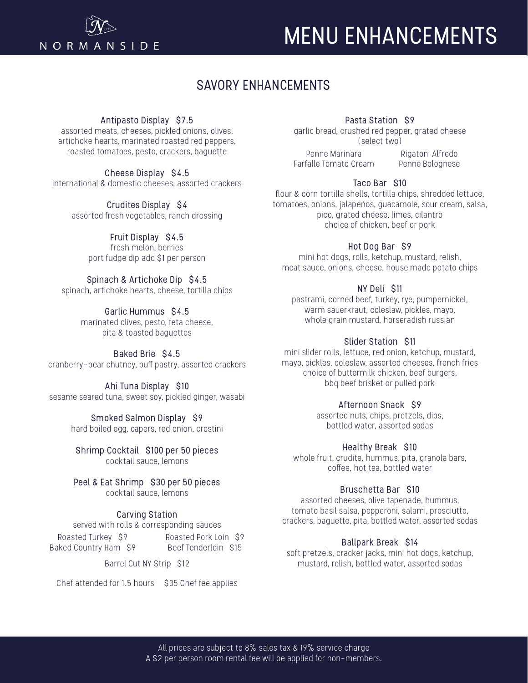

# MENU ENHANCEMENTS

# SAVORY ENHANCEMENTS

# Antipasto Display \$7.5

assorted meats, cheeses, pickled onions, olives, artichoke hearts, marinated roasted red peppers, roasted tomatoes, pesto, crackers, baguette

Cheese Display \$4.5 international & domestic cheeses, assorted crackers

> Crudites Display \$4 assorted fresh vegetables, ranch dressing

> > Fruit Display \$4.5 fresh melon, berries port fudge dip add \$1 per person

Spinach & Artichoke Dip \$4.5 spinach, artichoke hearts, cheese, tortilla chips

> Garlic Hummus \$4.5 marinated olives, pesto, feta cheese, pita & toasted baguettes

Baked Brie \$4.5 cranberry-pear chutney, puff pastry, assorted crackers

Ahi Tuna Display \$10 sesame seared tuna, sweet soy, pickled ginger, wasabi

> Smoked Salmon Display \$9 hard boiled egg, capers, red onion, crostini

Shrimp Cocktail \$100 per 50 pieces cocktail sauce, lemons

Peel & Eat Shrimp \$30 per 50 pieces cocktail sauce, lemons

# Carving Station

served with rolls & corresponding sauces

Roasted Turkey \$9 Baked Country Ham \$9 Roasted Pork Loin \$9 Beef Tenderloin \$15

Barrel Cut NY Strip \$12

Chef attended for 1.5 hours \$35 Chef fee applies

# Pasta Station \$9

garlic bread, crushed red pepper, grated cheese (select two)

Penne Marinara Farfalle Tomato Cream

Rigatoni Alfredo Penne Bolognese

#### Taco Bar \$10

flour & corn tortilla shells, tortilla chips, shredded lettuce, tomatoes, onions, jalapeños, guacamole, sour cream, salsa, pico, grated cheese, limes, cilantro choice of chicken, beef or pork

#### Hot Dog Bar \$9

mini hot dogs, rolls, ketchup, mustard, relish, meat sauce, onions, cheese, house made potato chips

### NY Deli \$11

pastrami, corned beef, turkey, rye, pumpernickel, warm sauerkraut, coleslaw, pickles, mayo, whole grain mustard, horseradish russian

### Slider Station \$11

mini slider rolls, lettuce, red onion, ketchup, mustard, mayo, pickles, coleslaw, assorted cheeses, french fries choice of buttermilk chicken, beef burgers, bbq beef brisket or pulled pork

# Afternoon Snack \$9

assorted nuts, chips, pretzels, dips, bottled water, assorted sodas

#### Healthy Break \$10

whole fruit, crudite, hummus, pita, granola bars, coffee, hot tea, bottled water

#### Bruschetta Bar \$10

assorted cheeses, olive tapenade, hummus, tomato basil salsa, pepperoni, salami, prosciutto, crackers, baguette, pita, bottled water, assorted sodas

#### Ballpark Break \$14

soft pretzels, cracker jacks, mini hot dogs, ketchup, mustard, relish, bottled water, assorted sodas

All prices are subject to 8% sales tax & 19% service charge A \$2 per person room rental fee will be applied for non-members.